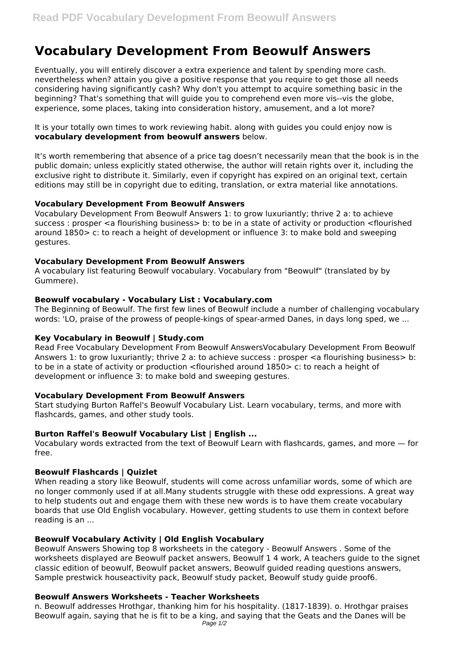# **Vocabulary Development From Beowulf Answers**

Eventually, you will entirely discover a extra experience and talent by spending more cash. nevertheless when? attain you give a positive response that you require to get those all needs considering having significantly cash? Why don't you attempt to acquire something basic in the beginning? That's something that will guide you to comprehend even more vis--vis the globe, experience, some places, taking into consideration history, amusement, and a lot more?

It is your totally own times to work reviewing habit. along with guides you could enjoy now is **vocabulary development from beowulf answers** below.

It's worth remembering that absence of a price tag doesn't necessarily mean that the book is in the public domain; unless explicitly stated otherwise, the author will retain rights over it, including the exclusive right to distribute it. Similarly, even if copyright has expired on an original text, certain editions may still be in copyright due to editing, translation, or extra material like annotations.

## **Vocabulary Development From Beowulf Answers**

Vocabulary Development From Beowulf Answers 1: to grow luxuriantly; thrive 2 a: to achieve success : prosper <a flourishing business> b: to be in a state of activity or production <flourished around 1850> c: to reach a height of development or influence 3: to make bold and sweeping gestures.

## **Vocabulary Development From Beowulf Answers**

A vocabulary list featuring Beowulf vocabulary. Vocabulary from "Beowulf" (translated by by Gummere).

## **Beowulf vocabulary - Vocabulary List : Vocabulary.com**

The Beginning of Beowulf. The first few lines of Beowulf include a number of challenging vocabulary words: 'LO, praise of the prowess of people-kings of spear-armed Danes, in days long sped, we ...

# **Key Vocabulary in Beowulf | Study.com**

Read Free Vocabulary Development From Beowulf AnswersVocabulary Development From Beowulf Answers 1: to grow luxuriantly; thrive 2 a: to achieve success : prosper <a flourishing business> b: to be in a state of activity or production <flourished around 1850> c: to reach a height of development or influence 3: to make bold and sweeping gestures.

# **Vocabulary Development From Beowulf Answers**

Start studying Burton Raffel's Beowulf Vocabulary List. Learn vocabulary, terms, and more with flashcards, games, and other study tools.

# **Burton Raffel's Beowulf Vocabulary List | English ...**

Vocabulary words extracted from the text of Beowulf Learn with flashcards, games, and more — for free.

# **Beowulf Flashcards | Quizlet**

When reading a story like Beowulf, students will come across unfamiliar words, some of which are no longer commonly used if at all.Many students struggle with these odd expressions. A great way to help students out and engage them with these new words is to have them create vocabulary boards that use Old English vocabulary. However, getting students to use them in context before reading is an ...

# **Beowulf Vocabulary Activity | Old English Vocabulary**

Beowulf Answers Showing top 8 worksheets in the category - Beowulf Answers . Some of the worksheets displayed are Beowulf packet answers, Beowulf 1 4 work, A teachers guide to the signet classic edition of beowulf, Beowulf packet answers, Beowulf guided reading questions answers, Sample prestwick houseactivity pack, Beowulf study packet, Beowulf study guide proof6.

#### **Beowulf Answers Worksheets - Teacher Worksheets**

n. Beowulf addresses Hrothgar, thanking him for his hospitality. (1817-1839). o. Hrothgar praises Beowulf again, saying that he is fit to be a king, and saying that the Geats and the Danes will be Page 1/2